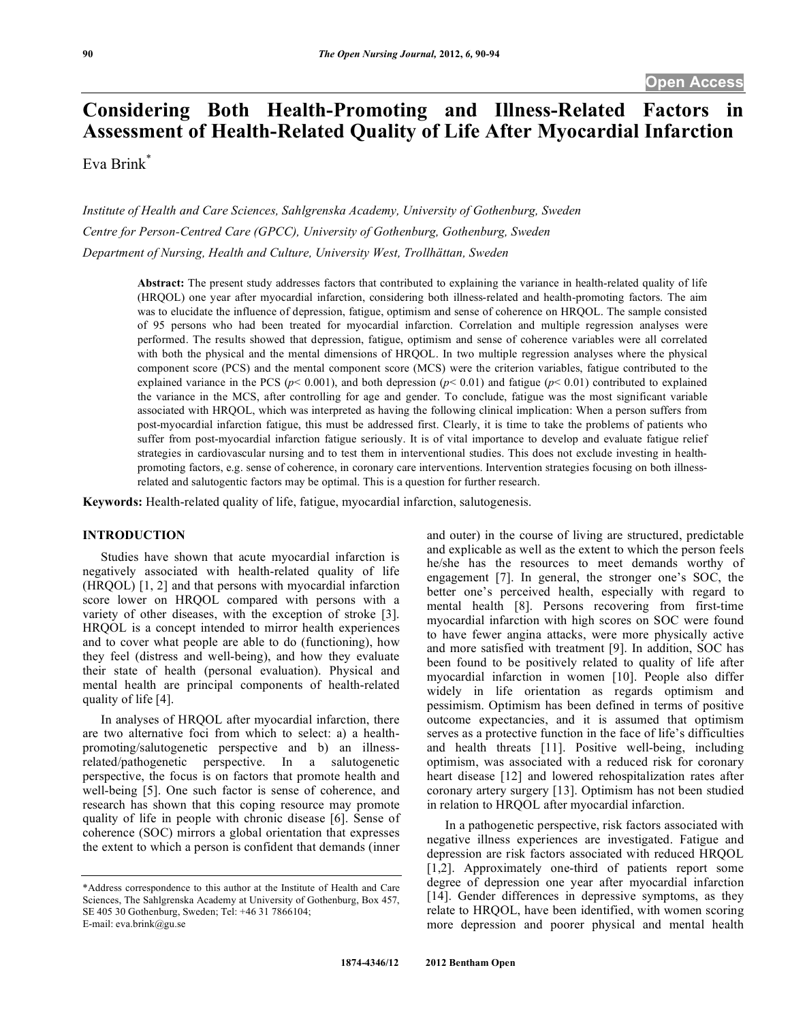# **Considering Both Health-Promoting and Illness-Related Factors in Assessment of Health-Related Quality of Life After Myocardial Infarction**

Eva Brink\*

*Institute of Health and Care Sciences, Sahlgrenska Academy, University of Gothenburg, Sweden Centre for Person-Centred Care (GPCC), University of Gothenburg, Gothenburg, Sweden Department of Nursing, Health and Culture, University West, Trollhättan, Sweden* 

> **Abstract:** The present study addresses factors that contributed to explaining the variance in health-related quality of life (HRQOL) one year after myocardial infarction, considering both illness-related and health-promoting factors. The aim was to elucidate the influence of depression, fatigue, optimism and sense of coherence on HRQOL. The sample consisted of 95 persons who had been treated for myocardial infarction. Correlation and multiple regression analyses were performed. The results showed that depression, fatigue, optimism and sense of coherence variables were all correlated with both the physical and the mental dimensions of HRQOL. In two multiple regression analyses where the physical component score (PCS) and the mental component score (MCS) were the criterion variables, fatigue contributed to the explained variance in the PCS ( $p$ < 0.001), and both depression ( $p$ < 0.01) and fatigue ( $p$ < 0.01) contributed to explained the variance in the MCS, after controlling for age and gender. To conclude, fatigue was the most significant variable associated with HRQOL, which was interpreted as having the following clinical implication: When a person suffers from post-myocardial infarction fatigue, this must be addressed first. Clearly, it is time to take the problems of patients who suffer from post-myocardial infarction fatigue seriously. It is of vital importance to develop and evaluate fatigue relief strategies in cardiovascular nursing and to test them in interventional studies. This does not exclude investing in healthpromoting factors, e.g. sense of coherence, in coronary care interventions. Intervention strategies focusing on both illnessrelated and salutogentic factors may be optimal. This is a question for further research.

**Keywords:** Health-related quality of life, fatigue, myocardial infarction, salutogenesis.

## **INTRODUCTION**

 Studies have shown that acute myocardial infarction is negatively associated with health-related quality of life (HRQOL) [1, 2] and that persons with myocardial infarction score lower on HRQOL compared with persons with a variety of other diseases, with the exception of stroke [3]. HRQOL is a concept intended to mirror health experiences and to cover what people are able to do (functioning), how they feel (distress and well-being), and how they evaluate their state of health (personal evaluation). Physical and mental health are principal components of health-related quality of life [4].

 In analyses of HRQOL after myocardial infarction, there are two alternative foci from which to select: a) a healthpromoting/salutogenetic perspective and b) an illnessrelated/pathogenetic perspective. In a salutogenetic perspective, the focus is on factors that promote health and well-being [5]. One such factor is sense of coherence, and research has shown that this coping resource may promote quality of life in people with chronic disease [6]. Sense of coherence (SOC) mirrors a global orientation that expresses the extent to which a person is confident that demands (inner

E-mail: eva.brink@gu.se

and outer) in the course of living are structured, predictable and explicable as well as the extent to which the person feels he/she has the resources to meet demands worthy of engagement [7]. In general, the stronger one's SOC, the better one's perceived health, especially with regard to mental health [8]. Persons recovering from first-time myocardial infarction with high scores on SOC were found to have fewer angina attacks, were more physically active and more satisfied with treatment [9]. In addition, SOC has been found to be positively related to quality of life after myocardial infarction in women [10]. People also differ widely in life orientation as regards optimism and pessimism. Optimism has been defined in terms of positive outcome expectancies, and it is assumed that optimism serves as a protective function in the face of life's difficulties and health threats [11]. Positive well-being, including optimism, was associated with a reduced risk for coronary heart disease [12] and lowered rehospitalization rates after coronary artery surgery [13]. Optimism has not been studied in relation to HRQOL after myocardial infarction.

 In a pathogenetic perspective, risk factors associated with negative illness experiences are investigated. Fatigue and depression are risk factors associated with reduced HRQOL [1,2]. Approximately one-third of patients report some degree of depression one year after myocardial infarction [14]. Gender differences in depressive symptoms, as they relate to HRQOL, have been identified, with women scoring more depression and poorer physical and mental health

<sup>\*</sup>Address correspondence to this author at the Institute of Health and Care Sciences, The Sahlgrenska Academy at University of Gothenburg, Box 457, SE 405 30 Gothenburg, Sweden; Tel: +46 31 7866104;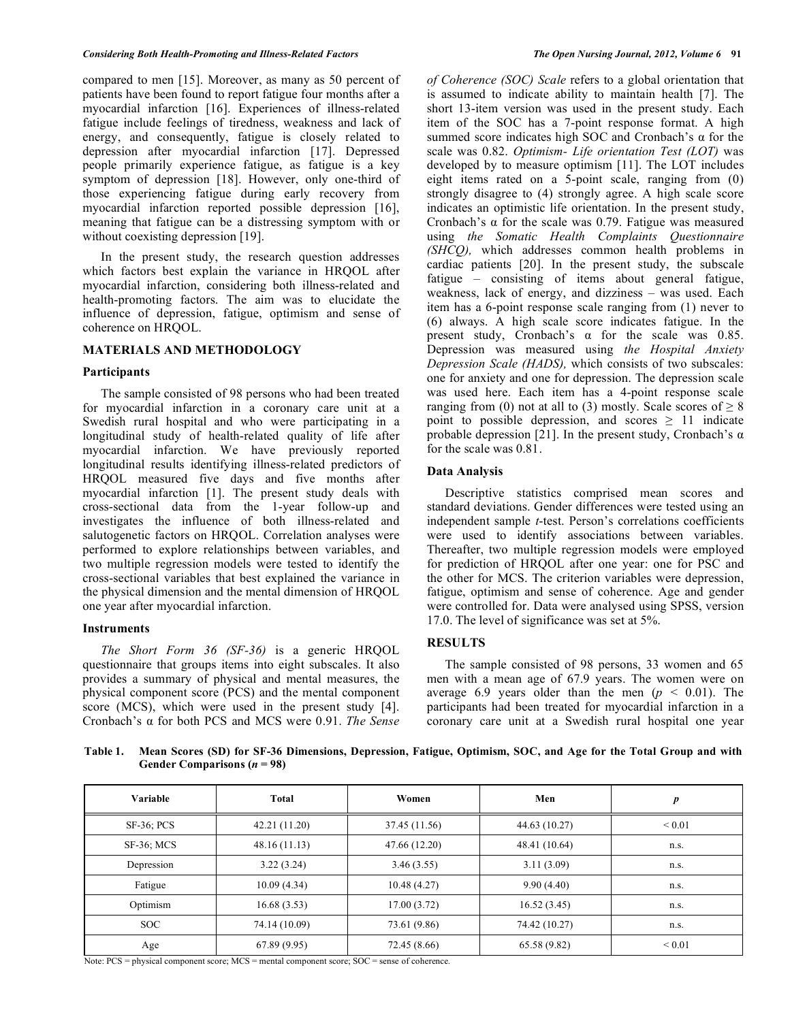compared to men [15]. Moreover, as many as 50 percent of patients have been found to report fatigue four months after a myocardial infarction [16]. Experiences of illness-related fatigue include feelings of tiredness, weakness and lack of energy, and consequently, fatigue is closely related to depression after myocardial infarction [17]. Depressed people primarily experience fatigue, as fatigue is a key symptom of depression [18]. However, only one-third of those experiencing fatigue during early recovery from myocardial infarction reported possible depression [16], meaning that fatigue can be a distressing symptom with or without coexisting depression [19].

 In the present study, the research question addresses which factors best explain the variance in HRQOL after myocardial infarction, considering both illness-related and health-promoting factors. The aim was to elucidate the influence of depression, fatigue, optimism and sense of coherence on HROOL.

## **MATERIALS AND METHODOLOGY**

#### **Participants**

 The sample consisted of 98 persons who had been treated for myocardial infarction in a coronary care unit at a Swedish rural hospital and who were participating in a longitudinal study of health-related quality of life after myocardial infarction. We have previously reported longitudinal results identifying illness-related predictors of HRQOL measured five days and five months after myocardial infarction [1]. The present study deals with cross-sectional data from the 1-year follow-up and investigates the influence of both illness-related and salutogenetic factors on HRQOL. Correlation analyses were performed to explore relationships between variables, and two multiple regression models were tested to identify the cross-sectional variables that best explained the variance in the physical dimension and the mental dimension of HRQOL one year after myocardial infarction.

#### **Instruments**

 *The Short Form 36 (SF-36)* is a generic HRQOL questionnaire that groups items into eight subscales. It also provides a summary of physical and mental measures, the physical component score (PCS) and the mental component score (MCS), which were used in the present study [4]. Cronbach's α for both PCS and MCS were 0.91. *The Sense*  *of Coherence (SOC) Scale* refers to a global orientation that is assumed to indicate ability to maintain health [7]. The short 13-item version was used in the present study. Each item of the SOC has a 7-point response format. A high summed score indicates high SOC and Cronbach's  $\alpha$  for the scale was 0.82. *Optimism- Life orientation Test (LOT)* was developed by to measure optimism [11]. The LOT includes eight items rated on a 5-point scale, ranging from (0) strongly disagree to (4) strongly agree. A high scale score indicates an optimistic life orientation. In the present study, Cronbach's  $\alpha$  for the scale was 0.79. Fatigue was measured using *the Somatic Health Complaints Questionnaire (SHCQ),* which addresses common health problems in cardiac patients [20]. In the present study, the subscale fatigue – consisting of items about general fatigue, weakness, lack of energy, and dizziness – was used. Each item has a 6-point response scale ranging from (1) never to (6) always. A high scale score indicates fatigue. In the present study, Cronbach's  $\alpha$  for the scale was 0.85. Depression was measured using *the Hospital Anxiety Depression Scale (HADS),* which consists of two subscales: one for anxiety and one for depression. The depression scale was used here. Each item has a 4-point response scale ranging from (0) not at all to (3) mostly. Scale scores of  $\geq 8$ point to possible depression, and scores  $\geq$  11 indicate probable depression [21]. In the present study, Cronbach's  $\alpha$ for the scale was 0.81.

### **Data Analysis**

 Descriptive statistics comprised mean scores and standard deviations. Gender differences were tested using an independent sample *t*-test. Person's correlations coefficients were used to identify associations between variables. Thereafter, two multiple regression models were employed for prediction of HRQOL after one year: one for PSC and the other for MCS. The criterion variables were depression, fatigue, optimism and sense of coherence. Age and gender were controlled for. Data were analysed using SPSS, version 17.0. The level of significance was set at 5%.

## **RESULTS**

 The sample consisted of 98 persons, 33 women and 65 men with a mean age of 67.9 years. The women were on average 6.9 years older than the men ( $p < 0.01$ ). The participants had been treated for myocardial infarction in a coronary care unit at a Swedish rural hospital one year

**Table 1. Mean Scores (SD) for SF-36 Dimensions, Depression, Fatigue, Optimism, SOC, and Age for the Total Group and with Gender Comparisons (***n* **= 98)** 

| Variable        | Total         | Women         | Men           | $\boldsymbol{p}$ |
|-----------------|---------------|---------------|---------------|------------------|
| $SF-36$ ; $PCS$ | 42.21(11.20)  | 37.45 (11.56) | 44.63 (10.27) | ${}_{0.01}$      |
| SF-36; MCS      | 48.16(11.13)  | 47.66 (12.20) | 48.41 (10.64) | n.s.             |
| Depression      | 3.22(3.24)    | 3.46(3.55)    | 3.11(3.09)    | n.s.             |
| Fatigue         | 10.09(4.34)   | 10.48(4.27)   | 9.90(4.40)    | n.s.             |
| Optimism        | 16.68(3.53)   | 17.00(3.72)   | 16.52(3.45)   | n.s.             |
| SOC.            | 74.14 (10.09) | 73.61 (9.86)  | 74.42 (10.27) | n.s.             |
| Age             | 67.89(9.95)   | 72.45 (8.66)  | 65.58 (9.82)  | ${}_{0.01}$      |

Note: PCS = physical component score; MCS = mental component score; SOC = sense of coherence.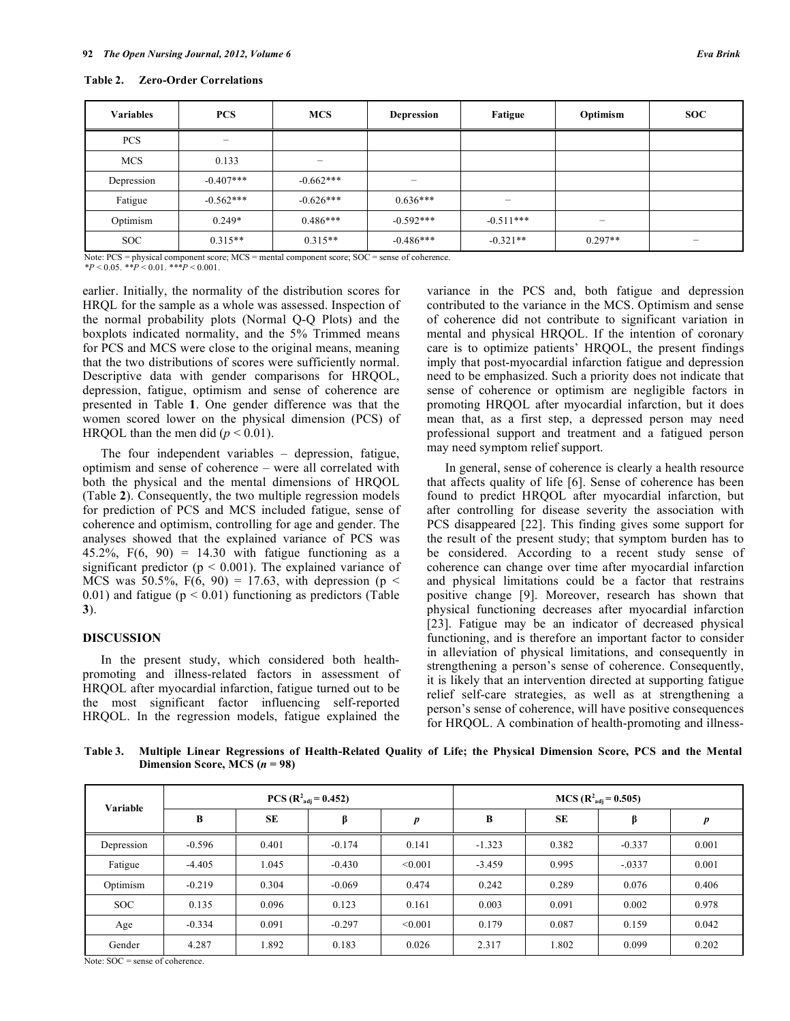| <b>Variables</b> | <b>PCS</b>  | <b>MCS</b>               | <b>Depression</b>        | Fatigue     | Optimism  | <b>SOC</b> |
|------------------|-------------|--------------------------|--------------------------|-------------|-----------|------------|
| <b>PCS</b>       | -           |                          |                          |             |           |            |
| <b>MCS</b>       | 0.133       | $\overline{\phantom{0}}$ |                          |             |           |            |
| Depression       | $-0.407***$ | $-0.662***$              | $\overline{\phantom{a}}$ |             |           |            |
| Fatigue          | $-0.562***$ | $-0.626***$              | $0.636***$               | -           |           |            |
| Optimism         | $0.249*$    | $0.486***$               | $-0.592***$              | $-0.511***$ | -         |            |
| <b>SOC</b>       | $0.315**$   | $0.315**$                | $-0.486***$              | $-0.321**$  | $0.297**$ | -          |

Note: PCS = physical component score; MCS = mental component score; SOC = sense of coherence.

 $*P < 0.05$ .  $*P < 0.01$ .  $***P < 0.001$ .

earlier. Initially, the normality of the distribution scores for HRQL for the sample as a whole was assessed. Inspection of the normal probability plots (Normal Q-Q Plots) and the boxplots indicated normality, and the 5% Trimmed means for PCS and MCS were close to the original means, meaning that the two distributions of scores were sufficiently normal. Descriptive data with gender comparisons for HRQOL, depression, fatigue, optimism and sense of coherence are presented in Table **1**. One gender difference was that the women scored lower on the physical dimension (PCS) of HRQOL than the men did  $(p < 0.01)$ .

 The four independent variables – depression, fatigue, optimism and sense of coherence – were all correlated with both the physical and the mental dimensions of HRQOL (Table **2**). Consequently, the two multiple regression models for prediction of PCS and MCS included fatigue, sense of coherence and optimism, controlling for age and gender. The analyses showed that the explained variance of PCS was 45.2%,  $F(6, 90) = 14.30$  with fatigue functioning as a significant predictor ( $p < 0.001$ ). The explained variance of MCS was 50.5%,  $F(6, 90) = 17.63$ , with depression (p < 0.01) and fatigue ( $p < 0.01$ ) functioning as predictors (Table **3**).

## **DISCUSSION**

 In the present study, which considered both healthpromoting and illness-related factors in assessment of HRQOL after myocardial infarction, fatigue turned out to be the most significant factor influencing self-reported HRQOL. In the regression models, fatigue explained the

variance in the PCS and, both fatigue and depression contributed to the variance in the MCS. Optimism and sense of coherence did not contribute to significant variation in mental and physical HRQOL. If the intention of coronary care is to optimize patients' HRQOL, the present findings imply that post-myocardial infarction fatigue and depression need to be emphasized. Such a priority does not indicate that sense of coherence or optimism are negligible factors in promoting HRQOL after myocardial infarction, but it does mean that, as a first step, a depressed person may need professional support and treatment and a fatigued person may need symptom relief support.

 In general, sense of coherence is clearly a health resource that affects quality of life [6]. Sense of coherence has been found to predict HRQOL after myocardial infarction, but after controlling for disease severity the association with PCS disappeared [22]. This finding gives some support for the result of the present study; that symptom burden has to be considered. According to a recent study sense of coherence can change over time after myocardial infarction and physical limitations could be a factor that restrains positive change [9]. Moreover, research has shown that physical functioning decreases after myocardial infarction [23]. Fatigue may be an indicator of decreased physical functioning, and is therefore an important factor to consider in alleviation of physical limitations, and consequently in strengthening a person's sense of coherence. Consequently, it is likely that an intervention directed at supporting fatigue relief self-care strategies, as well as at strengthening a person's sense of coherence, will have positive consequences for HRQOL. A combination of health-promoting and illness-

**Table 3. Multiple Linear Regressions of Health-Related Quality of Life; the Physical Dimension Score, PCS and the Mental Dimension Score, MCS (***n* **= 98)** 

| Variable   | $PCS (R2adj = 0.452)$ |           |          | $MCS (R2adj = 0.505)$ |          |           |          |       |
|------------|-----------------------|-----------|----------|-----------------------|----------|-----------|----------|-------|
|            | B                     | <b>SE</b> | β        | $\boldsymbol{p}$      | B        | <b>SE</b> | β        | p     |
| Depression | $-0.596$              | 0.401     | $-0.174$ | 0.141                 | $-1.323$ | 0.382     | $-0.337$ | 0.001 |
| Fatigue    | $-4.405$              | 1.045     | $-0.430$ | < 0.001               | $-3.459$ | 0.995     | $-.0337$ | 0.001 |
| Optimism   | $-0.219$              | 0.304     | $-0.069$ | 0.474                 | 0.242    | 0.289     | 0.076    | 0.406 |
| <b>SOC</b> | 0.135                 | 0.096     | 0.123    | 0.161                 | 0.003    | 0.091     | 0.002    | 0.978 |
| Age        | $-0.334$              | 0.091     | $-0.297$ | < 0.001               | 0.179    | 0.087     | 0.159    | 0.042 |
| Gender     | 4.287                 | 1.892     | 0.183    | 0.026                 | 2.317    | 1.802     | 0.099    | 0.202 |

Note: SOC = sense of coherence.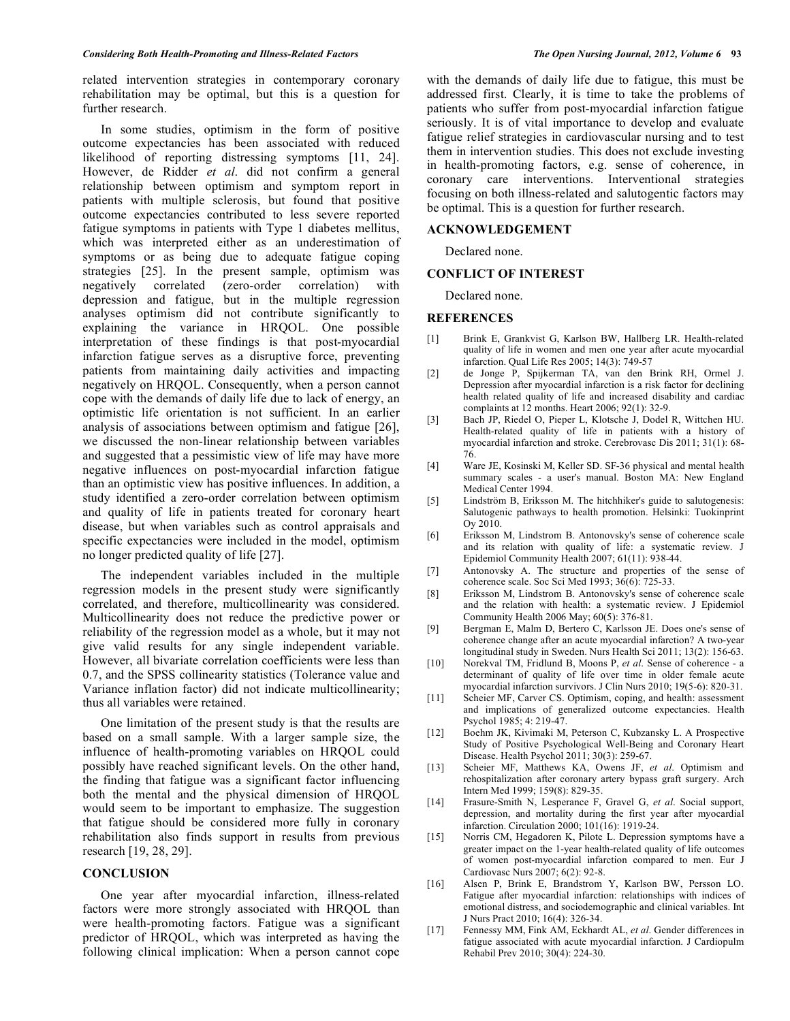related intervention strategies in contemporary coronary rehabilitation may be optimal, but this is a question for further research.

 In some studies, optimism in the form of positive outcome expectancies has been associated with reduced likelihood of reporting distressing symptoms [11, 24]. However, de Ridder *et al*. did not confirm a general relationship between optimism and symptom report in patients with multiple sclerosis, but found that positive outcome expectancies contributed to less severe reported fatigue symptoms in patients with Type 1 diabetes mellitus, which was interpreted either as an underestimation of symptoms or as being due to adequate fatigue coping strategies [25]. In the present sample, optimism was negatively correlated (zero-order correlation) with depression and fatigue, but in the multiple regression analyses optimism did not contribute significantly to explaining the variance in HRQOL. One possible interpretation of these findings is that post-myocardial infarction fatigue serves as a disruptive force, preventing patients from maintaining daily activities and impacting negatively on HRQOL. Consequently, when a person cannot cope with the demands of daily life due to lack of energy, an optimistic life orientation is not sufficient. In an earlier analysis of associations between optimism and fatigue [26], we discussed the non-linear relationship between variables and suggested that a pessimistic view of life may have more negative influences on post-myocardial infarction fatigue than an optimistic view has positive influences. In addition, a study identified a zero-order correlation between optimism and quality of life in patients treated for coronary heart disease, but when variables such as control appraisals and specific expectancies were included in the model, optimism no longer predicted quality of life [27].

 The independent variables included in the multiple regression models in the present study were significantly correlated, and therefore, multicollinearity was considered. Multicollinearity does not reduce the predictive power or reliability of the regression model as a whole, but it may not give valid results for any single independent variable. However, all bivariate correlation coefficients were less than 0.7, and the SPSS collinearity statistics (Tolerance value and Variance inflation factor) did not indicate multicollinearity; thus all variables were retained.

 One limitation of the present study is that the results are based on a small sample. With a larger sample size, the influence of health-promoting variables on HRQOL could possibly have reached significant levels. On the other hand, the finding that fatigue was a significant factor influencing both the mental and the physical dimension of HRQOL would seem to be important to emphasize. The suggestion that fatigue should be considered more fully in coronary rehabilitation also finds support in results from previous research [19, 28, 29].

## **CONCLUSION**

 One year after myocardial infarction, illness-related factors were more strongly associated with HRQOL than were health-promoting factors. Fatigue was a significant predictor of HRQOL, which was interpreted as having the following clinical implication: When a person cannot cope

with the demands of daily life due to fatigue, this must be addressed first. Clearly, it is time to take the problems of patients who suffer from post-myocardial infarction fatigue seriously. It is of vital importance to develop and evaluate fatigue relief strategies in cardiovascular nursing and to test them in intervention studies. This does not exclude investing in health-promoting factors, e.g. sense of coherence, in coronary care interventions. Interventional strategies focusing on both illness-related and salutogentic factors may be optimal. This is a question for further research.

#### **ACKNOWLEDGEMENT**

Declared none.

#### **CONFLICT OF INTEREST**

Declared none.

#### **REFERENCES**

- [1] Brink E, Grankvist G, Karlson BW, Hallberg LR. Health-related quality of life in women and men one year after acute myocardial infarction. Qual Life Res 2005; 14(3): 749-57
- [2] de Jonge P, Spijkerman TA, van den Brink RH, Ormel J. Depression after myocardial infarction is a risk factor for declining health related quality of life and increased disability and cardiac complaints at 12 months. Heart 2006; 92(1): 32-9.
- [3] Bach JP, Riedel O, Pieper L, Klotsche J, Dodel R, Wittchen HU. Health-related quality of life in patients with a history of myocardial infarction and stroke. Cerebrovasc Dis 2011; 31(1): 68- 76.
- [4] Ware JE, Kosinski M, Keller SD. SF-36 physical and mental health summary scales - a user's manual. Boston MA: New England Medical Center 1994.
- [5] Lindström B, Eriksson M. The hitchhiker's guide to salutogenesis: Salutogenic pathways to health promotion. Helsinki: Tuokinprint Oy 2010.
- [6] Eriksson M, Lindstrom B. Antonovsky's sense of coherence scale and its relation with quality of life: a systematic review. J Epidemiol Community Health 2007; 61(11): 938-44.
- [7] Antonovsky A. The structure and properties of the sense of coherence scale. Soc Sci Med 1993; 36(6): 725-33.
- [8] Eriksson M, Lindstrom B. Antonovsky's sense of coherence scale and the relation with health: a systematic review. J Epidemiol Community Health 2006 May; 60(5): 376-81.
- [9] Bergman E, Malm D, Bertero C, Karlsson JE. Does one's sense of coherence change after an acute myocardial infarction? A two-year longitudinal study in Sweden. Nurs Health Sci 2011; 13(2): 156-63.
- [10] Norekval TM, Fridlund B, Moons P, *et al*. Sense of coherence a determinant of quality of life over time in older female acute myocardial infarction survivors. J Clin Nurs 2010; 19(5-6): 820-31.
- [11] Scheier MF, Carver CS. Optimism, coping, and health: assessment and implications of generalized outcome expectancies. Health Psychol 1985; 4: 219-47.
- [12] Boehm JK, Kivimaki M, Peterson C, Kubzansky L. A Prospective Study of Positive Psychological Well-Being and Coronary Heart Disease. Health Psychol 2011; 30(3): 259-67.
- [13] Scheier MF, Matthews KA, Owens JF, *et al*. Optimism and rehospitalization after coronary artery bypass graft surgery. Arch Intern Med 1999; 159(8): 829-35.
- [14] Frasure-Smith N, Lesperance F, Gravel G, *et al*. Social support, depression, and mortality during the first year after myocardial infarction. Circulation 2000; 101(16): 1919-24.
- [15] Norris CM, Hegadoren K, Pilote L. Depression symptoms have a greater impact on the 1-year health-related quality of life outcomes of women post-myocardial infarction compared to men. Eur J Cardiovasc Nurs 2007; 6(2): 92-8.
- [16] Alsen P, Brink E, Brandstrom Y, Karlson BW, Persson LO. Fatigue after myocardial infarction: relationships with indices of emotional distress, and sociodemographic and clinical variables. Int J Nurs Pract 2010; 16(4): 326-34.
- [17] Fennessy MM, Fink AM, Eckhardt AL, *et al*. Gender differences in fatigue associated with acute myocardial infarction. J Cardiopulm Rehabil Prev 2010; 30(4): 224-30.